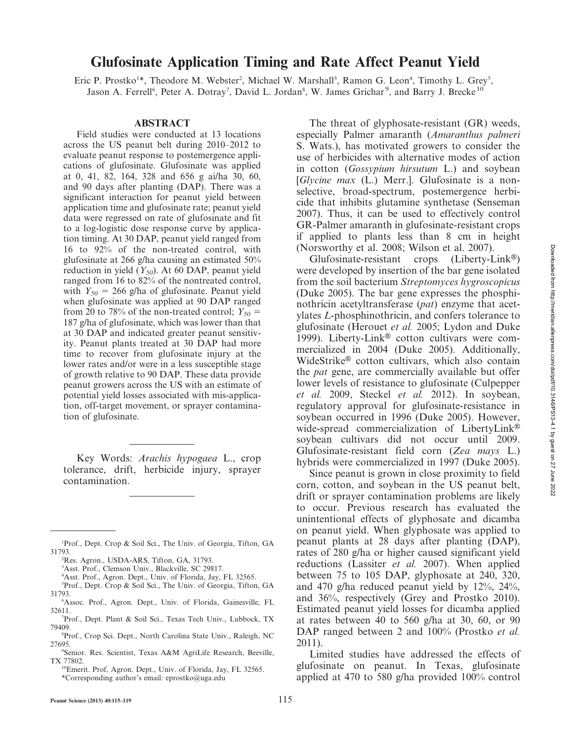# Glufosinate Application Timing and Rate Affect Peanut Yield

Eric P. Prostko<sup>1\*</sup>, Theodore M. Webster<sup>2</sup>, Michael W. Marshall<sup>3</sup>, Ramon G. Leon<sup>4</sup>, Timothy L. Grey<sup>5</sup>, Jason A. Ferrell<sup>6</sup>, Peter A. Dotray<sup>7</sup>, David L. Jordan<sup>8</sup>, W. James Grichar<sup>9</sup>, and Barry J. Brecke<sup>10</sup>

#### ABSTRACT

Field studies were conducted at 13 locations across the US peanut belt during 2010–2012 to evaluate peanut response to postemergence applications of glufosinate. Glufosinate was applied at 0, 41, 82, 164, 328 and 656 g ai/ha 30, 60, and 90 days after planting (DAP). There was a significant interaction for peanut yield between application time and glufosinate rate; peanut yield data were regressed on rate of glufosinate and fit to a log-logistic dose response curve by application timing. At 30 DAP, peanut yield ranged from 16 to 92% of the non-treated control, with glufosinate at 266 g/ha causing an estimated 50% reduction in yield  $(Y_{50})$ . At 60 DAP, peanut yield ranged from 16 to 82% of the nontreated control, with  $Y_{50} = 266$  g/ha of glufosinate. Peanut yield when glufosinate was applied at 90 DAP ranged from 20 to 78% of the non-treated control;  $Y_{50}$  = 187 g/ha of glufosinate, which was lower than that at 30 DAP and indicated greater peanut sensitivity. Peanut plants treated at 30 DAP had more time to recover from glufosinate injury at the lower rates and/or were in a less susceptible stage of growth relative to 90 DAP. These data provide peanut growers across the US with an estimate of potential yield losses associated with mis-application, off-target movement, or sprayer contamination of glufosinate.

Key Words: Arachis hypogaea L., crop tolerance, drift, herbicide injury, sprayer contamination.

- 4 Asst. Prof., Agron. Dept., Univ. of Florida, Jay, FL 32565.
- 5 Prof., Dept. Crop & Soil Sci., The Univ. of Georgia, Tifton, GA 31793.
- 6 Assoc. Prof., Agron. Dept., Univ. of Florida, Gainesville, FL 32611.
- 7 Prof., Dept. Plant & Soil Sci., Texas Tech Univ., Lubbock, TX 79409.
- 8 Prof., Crop Sci. Dept., North Carolina State Univ., Raleigh, NC 27695.
- 9 Senior. Res. Scientist, Texas A&M AgriLife Research, Beeville, TX 77802.

The threat of glyphosate-resistant (GR) weeds, especially Palmer amaranth (Amaranthus palmeri S. Wats.), has motivated growers to consider the use of herbicides with alternative modes of action in cotton (Gossypium hirsutum L.) and soybean [Glycine max (L.) Merr.]. Glufosinate is a nonselective, broad-spectrum, postemergence herbicide that inhibits glutamine synthetase (Senseman 2007). Thus, it can be used to effectively control GR-Palmer amaranth in glufosinate-resistant crops if applied to plants less than 8 cm in height (Norsworthy et al. 2008; Wilson et al. 2007).

Glufosinate-resistant crops  $(Liberty-Link^@)$ were developed by insertion of the bar gene isolated from the soil bacterium Streptomyces hygroscopicus (Duke 2005). The bar gene expresses the phosphinothricin acetyltransferase (pat) enzyme that acetylates L-phosphinothricin, and confers tolerance to glufosinate (Herouet et al. 2005; Lydon and Duke 1999). Liberty-Link<sup>®</sup> cotton cultivars were commercialized in 2004 (Duke 2005). Additionally, WideStrike® cotton cultivars, which also contain the pat gene, are commercially available but offer lower levels of resistance to glufosinate (Culpepper et al. 2009, Steckel et al. 2012). In soybean, regulatory approval for glufosinate-resistance in soybean occurred in 1996 (Duke 2005). However, wide-spread commercialization of LibertyLink® soybean cultivars did not occur until 2009. Glufosinate-resistant field corn (Zea mays L.) hybrids were commercialized in 1997 (Duke 2005).

Since peanut is grown in close proximity to field corn, cotton, and soybean in the US peanut belt, drift or sprayer contamination problems are likely to occur. Previous research has evaluated the unintentional effects of glyphosate and dicamba on peanut yield. When glyphosate was applied to peanut plants at 28 days after planting (DAP), rates of 280 g/ha or higher caused significant yield reductions (Lassiter et al. 2007). When applied between 75 to 105 DAP, glyphosate at 240, 320, and 470 g/ha reduced peanut yield by 12%, 24%, and 36%, respectively (Grey and Prostko 2010). Estimated peanut yield losses for dicamba applied at rates between 40 to 560 g/ha at 30, 60, or 90 DAP ranged between 2 and 100% (Prostko *et al.*) 2011).

Limited studies have addressed the effects of glufosinate on peanut. In Texas, glufosinate applied at 470 to 580 g/ha provided 100% control

<sup>1</sup> Prof., Dept. Crop & Soil Sci., The Univ. of Georgia, Tifton, GA 31793.

<sup>2</sup> Res. Agron., USDA-ARS, Tifton, GA, 31793.

<sup>3</sup> Asst. Prof., Clemson Univ., Blackville, SC 29817.

<sup>10</sup>Emerit. Prof, Agron. Dept., Univ. of Florida, Jay, FL 32565. \*Corresponding author's email: eprostko@uga.edu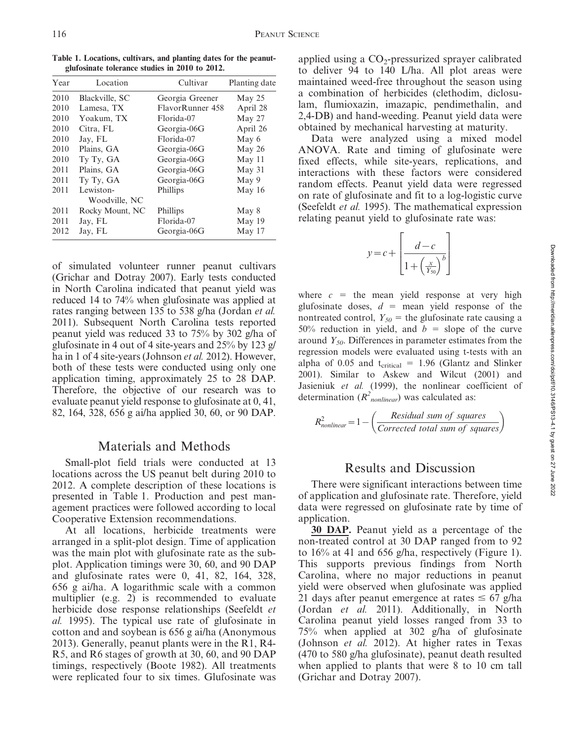Table 1. Locations, cultivars, and planting dates for the peanutglufosinate tolerance studies in 2010 to 2012.

| Year | Location        | Cultivar         | Planting date |
|------|-----------------|------------------|---------------|
| 2010 | Blackville, SC  | Georgia Greener  | May 25        |
| 2010 | Lamesa, TX      | FlavorRunner 458 | April 28      |
| 2010 | Yoakum, TX      | Florida-07       | May 27        |
| 2010 | Citra, FL       | Georgia-06G      | April 26      |
| 2010 | Jay, FL         | Florida-07       | May 6         |
| 2010 | Plains, GA      | Georgia-06G      | May 26        |
| 2010 | Ty Ty, GA       | Georgia-06G      | May 11        |
| 2011 | Plains, GA      | Georgia-06G      | May 31        |
| 2011 | Ty Ty, GA       | Georgia-06G      | May 9         |
| 2011 | Lewiston-       | Phillips         | May 16        |
|      | Woodville, NC   |                  |               |
| 2011 | Rocky Mount, NC | Phillips         | May 8         |
| 2011 | Jay, FL         | Florida-07       | May 19        |
| 2012 | Jay, FL         | Georgia-06G      | May 17        |

of simulated volunteer runner peanut cultivars (Grichar and Dotray 2007). Early tests conducted in North Carolina indicated that peanut yield was reduced 14 to 74% when glufosinate was applied at rates ranging between 135 to 538 g/ha (Jordan et al. 2011). Subsequent North Carolina tests reported peanut yield was reduced 33 to 75% by 302 g/ha of glufosinate in 4 out of 4 site-years and 25% by 123 g/ ha in 1 of 4 site-years (Johnson *et al.* 2012). However, both of these tests were conducted using only one application timing, approximately 25 to 28 DAP. Therefore, the objective of our research was to evaluate peanut yield response to glufosinate at 0, 41, 82, 164, 328, 656 g ai/ha applied 30, 60, or 90 DAP.

## Materials and Methods

Small-plot field trials were conducted at 13 locations across the US peanut belt during 2010 to 2012. A complete description of these locations is presented in Table 1. Production and pest management practices were followed according to local Cooperative Extension recommendations.

At all locations, herbicide treatments were arranged in a split-plot design. Time of application was the main plot with glufosinate rate as the subplot. Application timings were 30, 60, and 90 DAP and glufosinate rates were 0, 41, 82, 164, 328, 656 g ai/ha. A logarithmic scale with a common multiplier (e.g. 2) is recommended to evaluate herbicide dose response relationships (Seefeldt et al. 1995). The typical use rate of glufosinate in cotton and and soybean is 656 g ai/ha (Anonymous 2013). Generally, peanut plants were in the R1, R4- R5, and R6 stages of growth at 30, 60, and 90 DAP timings, respectively (Boote 1982). All treatments were replicated four to six times. Glufosinate was

applied using a  $CO<sub>2</sub>$ -pressurized sprayer calibrated to deliver 94 to 140 L/ha. All plot areas were maintained weed-free throughout the season using a combination of herbicides (clethodim, diclosulam, flumioxazin, imazapic, pendimethalin, and 2,4-DB) and hand-weeding. Peanut yield data were obtained by mechanical harvesting at maturity.

Data were analyzed using a mixed model ANOVA. Rate and timing of glufosinate were fixed effects, while site-years, replications, and interactions with these factors were considered random effects. Peanut yield data were regressed on rate of glufosinate and fit to a log-logistic curve (Seefeldt et al. 1995). The mathematical expression relating peanut yield to glufosinate rate was:

$$
y = c + \left[\frac{d - c}{1 + \left(\frac{x}{Y_{50}}\right)^b}\right]
$$

where  $c =$  the mean yield response at very high glufosinate doses,  $d =$  mean yield response of the nontreated control,  $Y_{50}$  = the glufosinate rate causing a 50% reduction in yield, and  $b =$  slope of the curve around  $Y_{50}$ . Differences in parameter estimates from the regression models were evaluated using t-tests with an alpha of 0.05 and  $t_{critical} = 1.96$  (Glantz and Slinker 2001). Similar to Askew and Wilcut (2001) and Jasieniuk et al. (1999), the nonlinear coefficient of determination  $(R<sup>2</sup>_{nonlinear})$  was calculated as:

$$
R_{nonlinear}^2 = 1 - \left(\frac{Residual \ sum \ of \ squares}{Corrected \ total \ sum \ of \ squares}\right)
$$

## Results and Discussion

There were significant interactions between time of application and glufosinate rate. Therefore, yield data were regressed on glufosinate rate by time of application.

30 DAP. Peanut yield as a percentage of the non-treated control at 30 DAP ranged from to 92 to 16% at 41 and 656 g/ha, respectively (Figure 1). This supports previous findings from North Carolina, where no major reductions in peanut yield were observed when glufosinate was applied 21 days after peanut emergence at rates  $\leq 67$  g/ha (Jordan et al. 2011). Additionally, in North Carolina peanut yield losses ranged from 33 to 75% when applied at 302 g/ha of glufosinate (Johnson et al. 2012). At higher rates in Texas (470 to 580 g/ha glufosinate), peanut death resulted when applied to plants that were 8 to 10 cm tall (Grichar and Dotray 2007).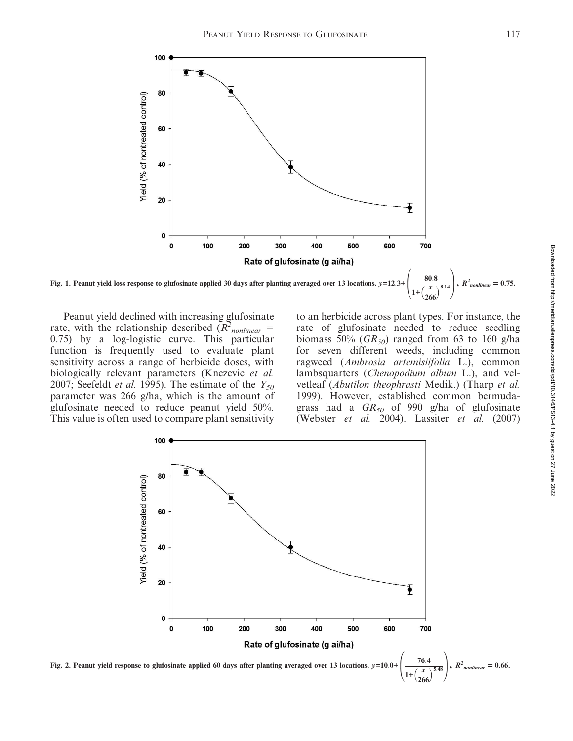

Fig. 1. Peanut yield loss response to glufosinate applied 30 days after planting averaged over 13 locations.  $y=12.3+$  $\frac{\delta 0.8}{1+\left(\frac{x}{2\epsilon\epsilon}\right)^{8.14}}$ ,  $R^2$ 266  $\overline{ }$  $_{nonlinear} = 0.75$ .

Peanut yield declined with increasing glufosinate rate, with the relationship described  $(R^2_{nonlinear} =$ 0.75) by a log-logistic curve. This particular function is frequently used to evaluate plant sensitivity across a range of herbicide doses, with biologically relevant parameters (Knezevic et al. 2007; Seefeldt *et al.* 1995). The estimate of the  $Y_{50}$ parameter was 266 g/ha, which is the amount of glufosinate needed to reduce peanut yield 50%. This value is often used to compare plant sensitivity

to an herbicide across plant types. For instance, the rate of glufosinate needed to reduce seedling biomass 50% ( $GR_{50}$ ) ranged from 63 to 160 g/ha for seven different weeds, including common ragweed (Ambrosia artemisiifolia L.), common lambsquarters (Chenopodium album L.), and velvetleaf (Abutilon theophrasti Medik.) (Tharp et al. 1999). However, established common bermudagrass had a  $GR_{50}$  of 990 g/ha of glufosinate (Webster et al. 2004). Lassiter et al. (2007)

 $\sqrt{2}$ 

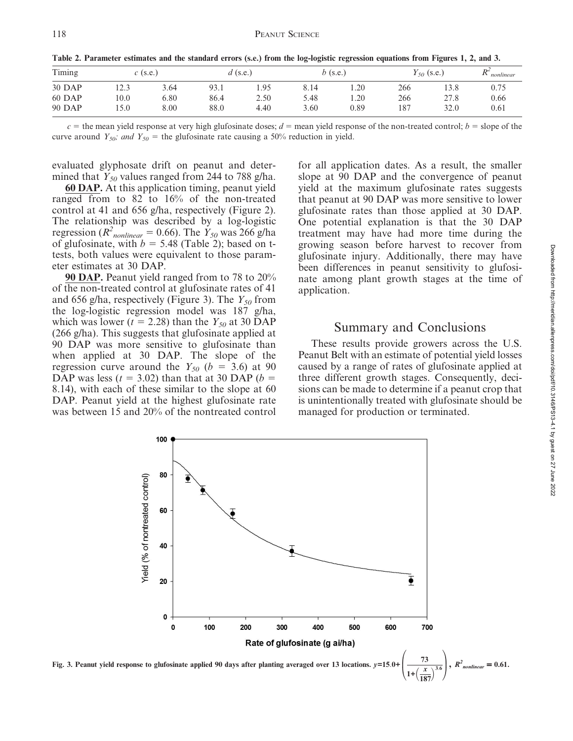| Timing | $c$ (s.e.) |      | $d$ (s.e.) |      |      | b (s.e.) |     | $Y_{.50}$ (s.e.) | $\mathbf{D}^2$<br>nonlinear |
|--------|------------|------|------------|------|------|----------|-----|------------------|-----------------------------|
| 30 DAP | 12.3       | 3.64 | 93.1       | 1.95 | 8.14 | 1.20     | 266 | 13.8             | 0.75                        |
| 60 DAP | 10.0       | 6.80 | 86.4       | 2.50 | 5.48 | 1.20     | 266 | 27.8             | 0.66                        |
| 90 DAP | 5.0        | 8.00 | 88.0       | 4.40 | 3.60 | 0.89     | 187 | 32.0             | 0.61                        |

Table 2. Parameter estimates and the standard errors (s.e.) from the log-logistic regression equations from Figures 1, 2, and 3.

 $c =$  the mean yield response at very high glufosinate doses;  $d =$  mean yield response of the non-treated control;  $b =$  slope of the curve around  $Y_{50}$ ; and  $Y_{50}$  = the glufosinate rate causing a 50% reduction in yield.

evaluated glyphosate drift on peanut and determined that  $Y_{50}$  values ranged from 244 to 788 g/ha.

60 DAP. At this application timing, peanut yield ranged from to 82 to 16% of the non-treated control at 41 and 656 g/ha, respectively (Figure 2). The relationship was described by a log-logistic regression ( $R^2_{nonlinear} = 0.66$ ). The  $Y_{50}$  was 266 g/ha of glufosinate, with  $b = 5.48$  (Table 2); based on ttests, both values were equivalent to those parameter estimates at 30 DAP.

90 DAP. Peanut yield ranged from to 78 to 20% of the non-treated control at glufosinate rates of 41 and 656 g/ha, respectively (Figure 3). The  $Y_{50}$  from the log-logistic regression model was 187 g/ha, which was lower ( $t = 2.28$ ) than the  $Y_{50}$  at 30 DAP (266 g/ha). This suggests that glufosinate applied at 90 DAP was more sensitive to glufosinate than when applied at 30 DAP. The slope of the regression curve around the  $Y_{50}$  ( $b = 3.6$ ) at 90 DAP was less ( $t = 3.02$ ) than that at 30 DAP ( $b =$ 8.14), with each of these similar to the slope at 60 DAP. Peanut yield at the highest glufosinate rate was between 15 and 20% of the nontreated control

for all application dates. As a result, the smaller slope at 90 DAP and the convergence of peanut yield at the maximum glufosinate rates suggests that peanut at 90 DAP was more sensitive to lower glufosinate rates than those applied at 30 DAP. One potential explanation is that the 30 DAP treatment may have had more time during the growing season before harvest to recover from glufosinate injury. Additionally, there may have been differences in peanut sensitivity to glufosinate among plant growth stages at the time of application.

#### Summary and Conclusions

These results provide growers across the U.S. Peanut Belt with an estimate of potential yield losses caused by a range of rates of glufosinate applied at three different growth stages. Consequently, decisions can be made to determine if a peanut crop that is unintentionally treated with glufosinate should be managed for production or terminated.